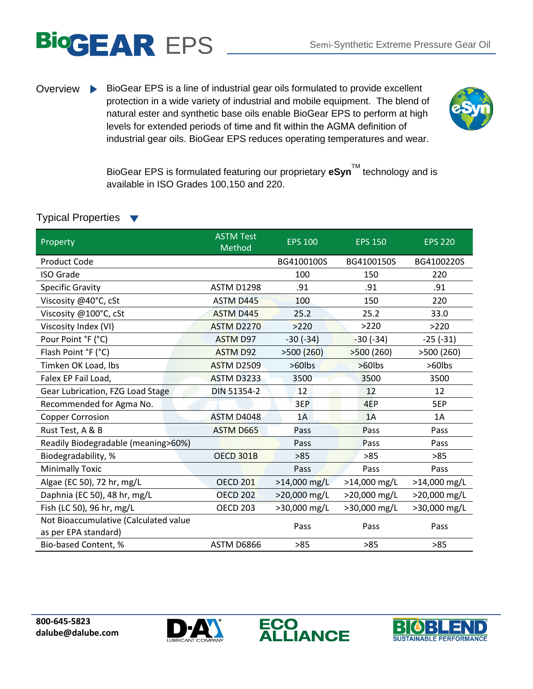

Overview BioGear EPS is a line of industrial gear oils formulated to provide excellent protection in a wide variety of industrial and mobile equipment. The blend of natural ester and synthetic base oils enable BioGear EPS to perform at high levels for extended periods of time and fit within the AGMA definition of industrial gear oils. BioGear EPS reduces operating temperatures and wear.



BioGear EPS is formulated featuring our proprietary **eSyn**TM technology and is available in ISO Grades 100,150 and 220.

| Property                                                      | <b>ASTM Test</b><br>Method | <b>EPS 100</b> | <b>EPS 150</b> | <b>EPS 220</b> |
|---------------------------------------------------------------|----------------------------|----------------|----------------|----------------|
| Product Code                                                  |                            | BG4100100S     | BG4100150S     | BG4100220S     |
| <b>ISO Grade</b>                                              |                            | 100            | 150            | 220            |
| Specific Gravity                                              | <b>ASTM D1298</b>          | .91            | .91            | .91            |
| Viscosity @40°C, cSt                                          | ASTM D445                  | 100            | 150            | 220            |
| Viscosity @100°C, cSt                                         | <b>ASTM D445</b>           | 25.2           | 25.2           | 33.0           |
| Viscosity Index (VI)                                          | <b>ASTM D2270</b>          | >220           | >220           | >220           |
| Pour Point °F (°C)                                            | <b>ASTM D97</b>            | $-30(-34)$     | $-30(-34)$     | $-25(-31)$     |
| Flash Point °F (°C)                                           | <b>ASTM D92</b>            | >500(260)      | >500(260)      | >500(260)      |
| Timken OK Load, Ibs                                           | <b>ASTM D2509</b>          | >60lbs         | >60lbs         | >60lbs         |
| Falex EP Fail Load,                                           | <b>ASTM D3233</b>          | 3500           | 3500           | 3500           |
| Gear Lubrication, FZG Load Stage                              | DIN 51354-2                | 12             | 12             | 12             |
| Recommended for Agma No.                                      |                            | 3EP            | 4EP            | 5EP            |
| <b>Copper Corrosion</b>                                       | ASTM D4048                 | 1A             | 1A             | 1A             |
| Rust Test, A & B                                              | ASTM D665                  | Pass           | Pass           | Pass           |
| Readily Biodegradable (meaning>60%)                           |                            | Pass           | Pass           | Pass           |
| Biodegradability, %                                           | <b>OECD 301B</b>           | >85            | >85            | $>85$          |
| <b>Minimally Toxic</b>                                        |                            | Pass           | Pass           | Pass           |
| Algae (EC 50), 72 hr, mg/L                                    | <b>OECD 201</b>            | $>14,000$ mg/L | >14,000 mg/L   | >14,000 mg/L   |
| Daphnia (EC 50), 48 hr, mg/L                                  | <b>OECD 202</b>            | >20,000 mg/L   | >20,000 mg/L   | >20,000 mg/L   |
| Fish (LC 50), 96 hr, mg/L                                     | <b>OECD 203</b>            | >30,000 mg/L   | >30,000 mg/L   | >30,000 mg/L   |
| Not Bioaccumulative (Calculated value<br>as per EPA standard) |                            | Pass           | Pass           | Pass           |
| Bio-based Content, %                                          | ASTM D6866                 | $>85$          | >85            | >85            |

## Typical Properties